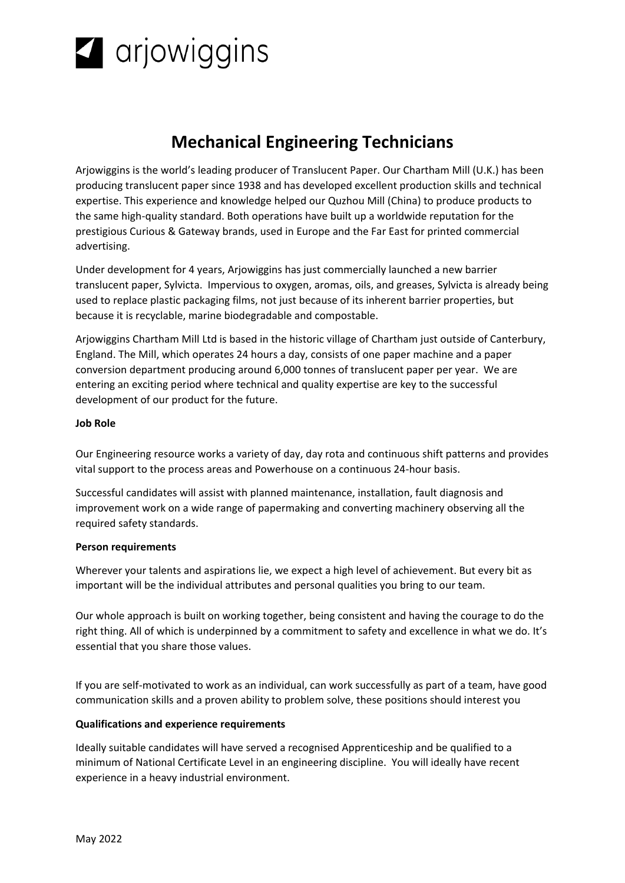

# **Mechanical Engineering Technicians**

Arjowiggins is the world's leading producer of Translucent Paper. Our Chartham Mill (U.K.) has been producing translucent paper since 1938 and has developed excellent production skills and technical expertise. This experience and knowledge helped our Quzhou Mill (China) to produce products to the same high-quality standard. Both operations have built up a worldwide reputation for the prestigious Curious & Gateway brands, used in Europe and the Far East for printed commercial advertising.

Under development for 4 years, Arjowiggins has just commercially launched a new barrier translucent paper, Sylvicta. Impervious to oxygen, aromas, oils, and greases, Sylvicta is already being used to replace plastic packaging films, not just because of its inherent barrier properties, but because it is recyclable, marine biodegradable and compostable.

Arjowiggins Chartham Mill Ltd is based in the historic village of Chartham just outside of Canterbury, England. The Mill, which operates 24 hours a day, consists of one paper machine and a paper conversion department producing around 6,000 tonnes of translucent paper per year. We are entering an exciting period where technical and quality expertise are key to the successful development of our product for the future.

## **Job Role**

Our Engineering resource works a variety of day, day rota and continuous shift patterns and provides vital support to the process areas and Powerhouse on a continuous 24-hour basis.

Successful candidates will assist with planned maintenance, installation, fault diagnosis and improvement work on a wide range of papermaking and converting machinery observing all the required safety standards.

#### **Person requirements**

Wherever your talents and aspirations lie, we expect a high level of achievement. But every bit as important will be the individual attributes and personal qualities you bring to our team.

Our whole approach is built on working together, being consistent and having the courage to do the right thing. All of which is underpinned by a commitment to safety and excellence in what we do. It's essential that you share those values.

If you are self-motivated to work as an individual, can work successfully as part of a team, have good communication skills and a proven ability to problem solve, these positions should interest you

## **Qualifications and experience requirements**

Ideally suitable candidates will have served a recognised Apprenticeship and be qualified to a minimum of National Certificate Level in an engineering discipline. You will ideally have recent experience in a heavy industrial environment.